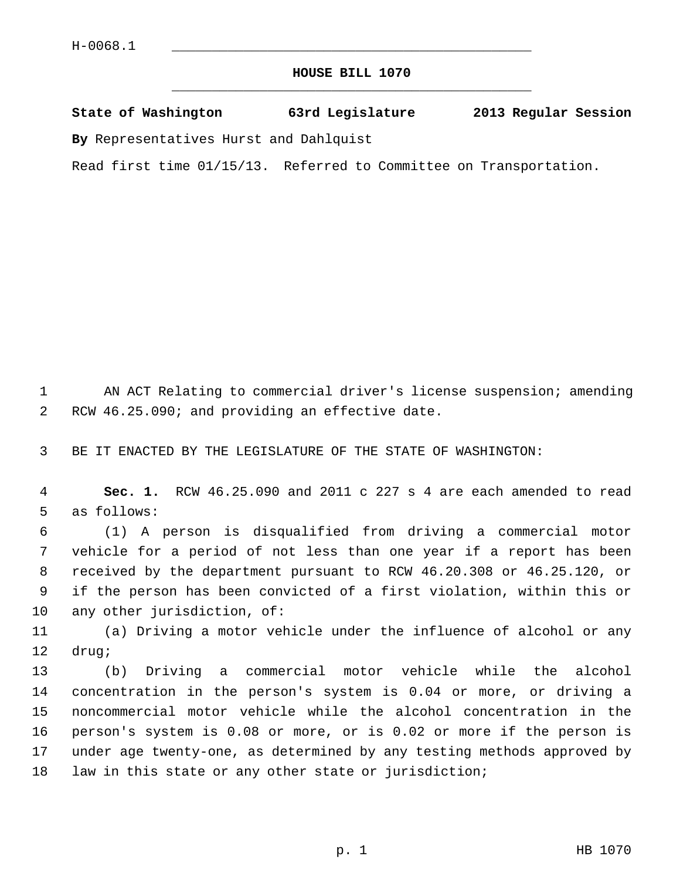## **HOUSE BILL 1070** \_\_\_\_\_\_\_\_\_\_\_\_\_\_\_\_\_\_\_\_\_\_\_\_\_\_\_\_\_\_\_\_\_\_\_\_\_\_\_\_\_\_\_\_\_

## **State of Washington 63rd Legislature 2013 Regular Session**

**By** Representatives Hurst and Dahlquist

Read first time 01/15/13. Referred to Committee on Transportation.

 1 AN ACT Relating to commercial driver's license suspension; amending 2 RCW 46.25.090; and providing an effective date.

3 BE IT ENACTED BY THE LEGISLATURE OF THE STATE OF WASHINGTON:

 4 **Sec. 1.** RCW 46.25.090 and 2011 c 227 s 4 are each amended to read 5 as follows:

 6 (1) A person is disqualified from driving a commercial motor 7 vehicle for a period of not less than one year if a report has been 8 received by the department pursuant to RCW 46.20.308 or 46.25.120, or 9 if the person has been convicted of a first violation, within this or 10 any other jurisdiction, of:

11 (a) Driving a motor vehicle under the influence of alcohol or any 12 drug;

13 (b) Driving a commercial motor vehicle while the alcohol 14 concentration in the person's system is 0.04 or more, or driving a 15 noncommercial motor vehicle while the alcohol concentration in the 16 person's system is 0.08 or more, or is 0.02 or more if the person is 17 under age twenty-one, as determined by any testing methods approved by 18 law in this state or any other state or jurisdiction;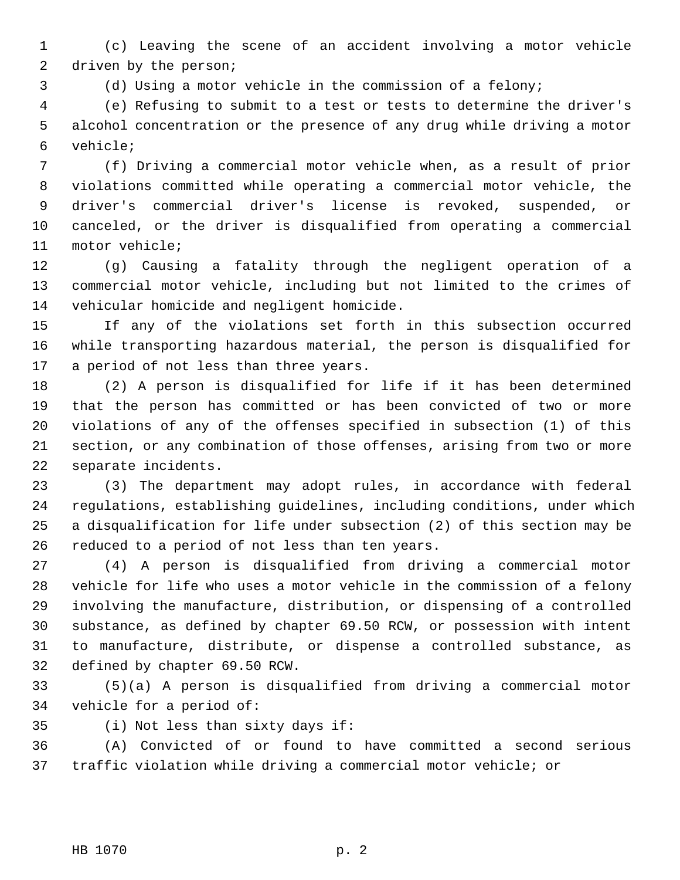1 (c) Leaving the scene of an accident involving a motor vehicle 2 driven by the person;

3 (d) Using a motor vehicle in the commission of a felony;

 4 (e) Refusing to submit to a test or tests to determine the driver's 5 alcohol concentration or the presence of any drug while driving a motor 6 vehicle;

 7 (f) Driving a commercial motor vehicle when, as a result of prior 8 violations committed while operating a commercial motor vehicle, the 9 driver's commercial driver's license is revoked, suspended, or 10 canceled, or the driver is disqualified from operating a commercial 11 motor vehicle;

12 (g) Causing a fatality through the negligent operation of a 13 commercial motor vehicle, including but not limited to the crimes of 14 vehicular homicide and negligent homicide.

15 If any of the violations set forth in this subsection occurred 16 while transporting hazardous material, the person is disqualified for 17 a period of not less than three years.

18 (2) A person is disqualified for life if it has been determined 19 that the person has committed or has been convicted of two or more 20 violations of any of the offenses specified in subsection (1) of this 21 section, or any combination of those offenses, arising from two or more 22 separate incidents.

23 (3) The department may adopt rules, in accordance with federal 24 regulations, establishing guidelines, including conditions, under which 25 a disqualification for life under subsection (2) of this section may be 26 reduced to a period of not less than ten years.

27 (4) A person is disqualified from driving a commercial motor 28 vehicle for life who uses a motor vehicle in the commission of a felony 29 involving the manufacture, distribution, or dispensing of a controlled 30 substance, as defined by chapter 69.50 RCW, or possession with intent 31 to manufacture, distribute, or dispense a controlled substance, as 32 defined by chapter 69.50 RCW.

33 (5)(a) A person is disqualified from driving a commercial motor 34 vehicle for a period of:

35 (i) Not less than sixty days if:

36 (A) Convicted of or found to have committed a second serious 37 traffic violation while driving a commercial motor vehicle; or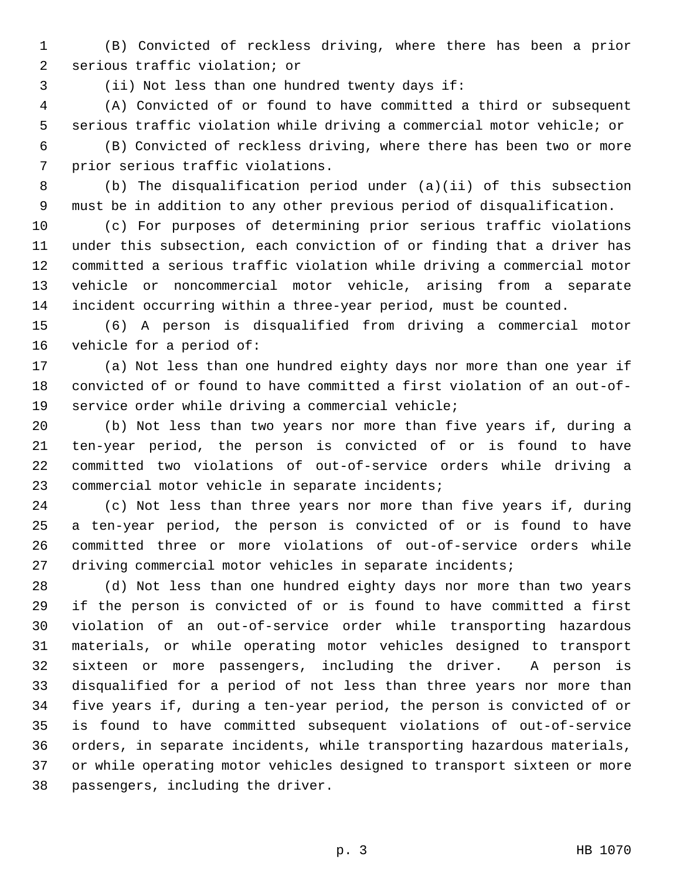1 (B) Convicted of reckless driving, where there has been a prior 2 serious traffic violation; or

3 (ii) Not less than one hundred twenty days if:

 4 (A) Convicted of or found to have committed a third or subsequent 5 serious traffic violation while driving a commercial motor vehicle; or

 6 (B) Convicted of reckless driving, where there has been two or more 7 prior serious traffic violations.

 8 (b) The disqualification period under (a)(ii) of this subsection 9 must be in addition to any other previous period of disqualification.

10 (c) For purposes of determining prior serious traffic violations 11 under this subsection, each conviction of or finding that a driver has 12 committed a serious traffic violation while driving a commercial motor 13 vehicle or noncommercial motor vehicle, arising from a separate 14 incident occurring within a three-year period, must be counted.

15 (6) A person is disqualified from driving a commercial motor 16 vehicle for a period of:

17 (a) Not less than one hundred eighty days nor more than one year if 18 convicted of or found to have committed a first violation of an out-of-19 service order while driving a commercial vehicle;

20 (b) Not less than two years nor more than five years if, during a 21 ten-year period, the person is convicted of or is found to have 22 committed two violations of out-of-service orders while driving a 23 commercial motor vehicle in separate incidents;

24 (c) Not less than three years nor more than five years if, during 25 a ten-year period, the person is convicted of or is found to have 26 committed three or more violations of out-of-service orders while 27 driving commercial motor vehicles in separate incidents;

28 (d) Not less than one hundred eighty days nor more than two years 29 if the person is convicted of or is found to have committed a first 30 violation of an out-of-service order while transporting hazardous 31 materials, or while operating motor vehicles designed to transport 32 sixteen or more passengers, including the driver. A person is 33 disqualified for a period of not less than three years nor more than 34 five years if, during a ten-year period, the person is convicted of or 35 is found to have committed subsequent violations of out-of-service 36 orders, in separate incidents, while transporting hazardous materials, 37 or while operating motor vehicles designed to transport sixteen or more 38 passengers, including the driver.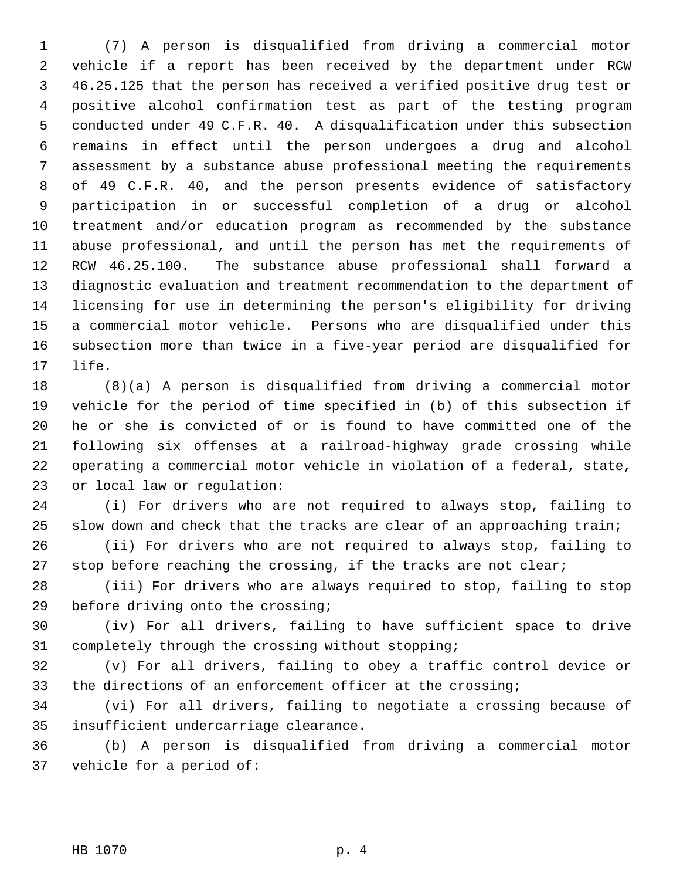1 (7) A person is disqualified from driving a commercial motor 2 vehicle if a report has been received by the department under RCW 3 46.25.125 that the person has received a verified positive drug test or 4 positive alcohol confirmation test as part of the testing program 5 conducted under 49 C.F.R. 40. A disqualification under this subsection 6 remains in effect until the person undergoes a drug and alcohol 7 assessment by a substance abuse professional meeting the requirements 8 of 49 C.F.R. 40, and the person presents evidence of satisfactory 9 participation in or successful completion of a drug or alcohol 10 treatment and/or education program as recommended by the substance 11 abuse professional, and until the person has met the requirements of 12 RCW 46.25.100. The substance abuse professional shall forward a 13 diagnostic evaluation and treatment recommendation to the department of 14 licensing for use in determining the person's eligibility for driving 15 a commercial motor vehicle. Persons who are disqualified under this 16 subsection more than twice in a five-year period are disqualified for 17 life.

18 (8)(a) A person is disqualified from driving a commercial motor 19 vehicle for the period of time specified in (b) of this subsection if 20 he or she is convicted of or is found to have committed one of the 21 following six offenses at a railroad-highway grade crossing while 22 operating a commercial motor vehicle in violation of a federal, state, 23 or local law or regulation:

24 (i) For drivers who are not required to always stop, failing to 25 slow down and check that the tracks are clear of an approaching train;

26 (ii) For drivers who are not required to always stop, failing to 27 stop before reaching the crossing, if the tracks are not clear;

28 (iii) For drivers who are always required to stop, failing to stop 29 before driving onto the crossing;

30 (iv) For all drivers, failing to have sufficient space to drive 31 completely through the crossing without stopping;

32 (v) For all drivers, failing to obey a traffic control device or 33 the directions of an enforcement officer at the crossing;

34 (vi) For all drivers, failing to negotiate a crossing because of 35 insufficient undercarriage clearance.

36 (b) A person is disqualified from driving a commercial motor 37 vehicle for a period of: